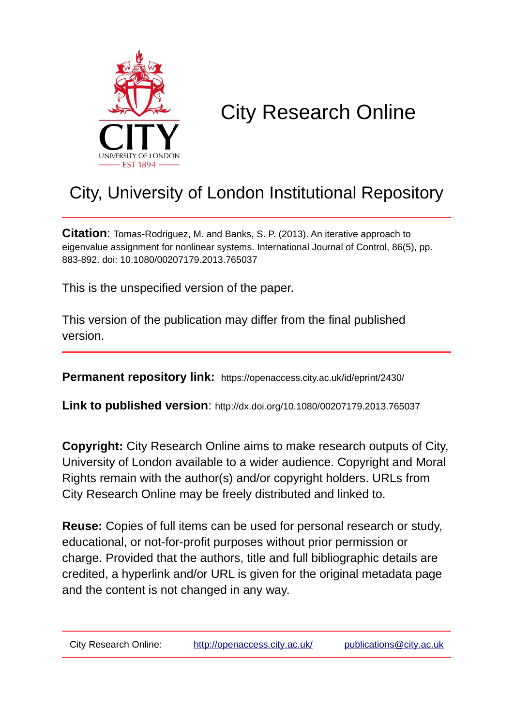

# City Research Online

# City, University of London Institutional Repository

**Citation**: Tomas-Rodriguez, M. and Banks, S. P. (2013). An iterative approach to eigenvalue assignment for nonlinear systems. International Journal of Control, 86(5), pp. 883-892. doi: 10.1080/00207179.2013.765037

This is the unspecified version of the paper.

This version of the publication may differ from the final published version.

**Permanent repository link:** https://openaccess.city.ac.uk/id/eprint/2430/

**Link to published version**: http://dx.doi.org/10.1080/00207179.2013.765037

**Copyright:** City Research Online aims to make research outputs of City, University of London available to a wider audience. Copyright and Moral Rights remain with the author(s) and/or copyright holders. URLs from City Research Online may be freely distributed and linked to.

**Reuse:** Copies of full items can be used for personal research or study, educational, or not-for-profit purposes without prior permission or charge. Provided that the authors, title and full bibliographic details are credited, a hyperlink and/or URL is given for the original metadata page and the content is not changed in any way.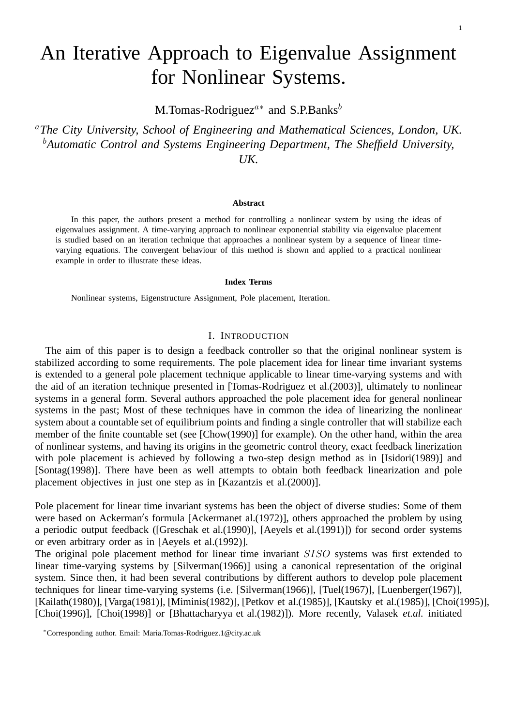M.Tomas-Rodriguez<sup> $a*$ </sup> and S.P.Banks<sup>b</sup>

<sup>a</sup>*The City University, School of Engineering and Mathematical Sciences, London, UK.* <sup>b</sup>*Automatic Control and Systems Engineering Department, The Sheffield University, UK.*

#### **Abstract**

In this paper, the authors present a method for controlling a nonlinear system by using the ideas of eigenvalues assignment. A time-varying approach to nonlinear exponential stability via eigenvalue placement is studied based on an iteration technique that approaches a nonlinear system by a sequence of linear timevarying equations. The convergent behaviour of this method is shown and applied to a practical nonlinear example in order to illustrate these ideas.

### **Index Terms**

Nonlinear systems, Eigenstructure Assignment, Pole placement, Iteration.

#### I. INTRODUCTION

The aim of this paper is to design a feedback controller so that the original nonlinear system is stabilized according to some requirements. The pole placement idea for linear time invariant systems is extended to a general pole placement technique applicable to linear time-varying systems and with the aid of an iteration technique presented in [Tomas-Rodriguez et al.(2003)], ultimately to nonlinear systems in a general form. Several authors approached the pole placement idea for general nonlinear systems in the past; Most of these techniques have in common the idea of linearizing the nonlinear system about a countable set of equilibrium points and finding a single controller that will stabilize each member of the finite countable set (see [Chow(1990)] for example). On the other hand, within the area of nonlinear systems, and having its origins in the geometric control theory, exact feedback linerization with pole placement is achieved by following a two-step design method as in [Isidori(1989)] and [Sontag(1998)]. There have been as well attempts to obtain both feedback linearization and pole placement objectives in just one step as in [Kazantzis et al.(2000)].

Pole placement for linear time invariant systems has been the object of diverse studies: Some of them were based on Ackerman′ s formula [Ackermanet al.(1972)], others approached the problem by using a periodic output feedback ([Greschak et al.(1990)], [Aeyels et al.(1991)]) for second order systems or even arbitrary order as in [Aeyels et al.(1992)].

The original pole placement method for linear time invariant SISO systems was first extended to linear time-varying systems by [Silverman(1966)] using a canonical representation of the original system. Since then, it had been several contributions by different authors to develop pole placement techniques for linear time-varying systems (i.e. [Silverman(1966)], [Tuel(1967)], [Luenberger(1967)], [Kailath(1980)], [Varga(1981)], [Miminis(1982)], [Petkov et al.(1985)], [Kautsky et al.(1985)], [Choi(1995)], [Choi(1996)], [Choi(1998)] or [Bhattacharyya et al.(1982)]). More recently, Valasek *et.al.* initiated

<sup>∗</sup>Corresponding author. Email: Maria.Tomas-Rodriguez.1@city.ac.uk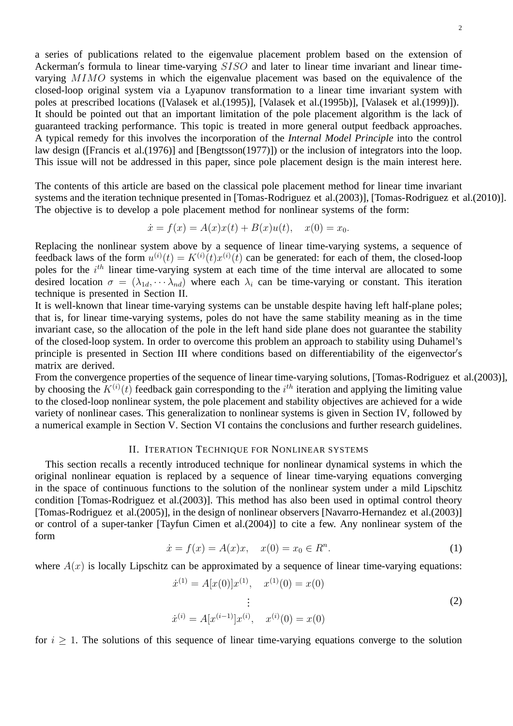a series of publications related to the eigenvalue placement problem based on the extension of Ackerman's formula to linear time-varying SISO and later to linear time invariant and linear timevarying MIMO systems in which the eigenvalue placement was based on the equivalence of the closed-loop original system via a Lyapunov transformation to a linear time invariant system with poles at prescribed locations ([Valasek et al.(1995)], [Valasek et al.(1995b)], [Valasek et al.(1999)]). It should be pointed out that an important limitation of the pole placement algorithm is the lack of guaranteed tracking performance. This topic is treated in more general output feedback approaches. A typical remedy for this involves the incorporation of the *Internal Model Principle* into the control law design ([Francis et al.(1976)] and [Bengtsson(1977)]) or the inclusion of integrators into the loop. This issue will not be addressed in this paper, since pole placement design is the main interest here.

The contents of this article are based on the classical pole placement method for linear time invariant systems and the iteration technique presented in [Tomas-Rodriguez et al.(2003)], [Tomas-Rodriguez et al.(2010)]. The objective is to develop a pole placement method for nonlinear systems of the form:

$$
\dot{x} = f(x) = A(x)x(t) + B(x)u(t), \quad x(0) = x_0.
$$

Replacing the nonlinear system above by a sequence of linear time-varying systems, a sequence of feedback laws of the form  $u^{(i)}(t) = K^{(i)}(t)x^{(i)}(t)$  can be generated: for each of them, the closed-loop poles for the  $i<sup>th</sup>$  linear time-varying system at each time of the time interval are allocated to some desired location  $\sigma = (\lambda_{1d}, \cdots \lambda_{nd})$  where each  $\lambda_i$  can be time-varying or constant. This iteration technique is presented in Section II.

It is well-known that linear time-varying systems can be unstable despite having left half-plane poles; that is, for linear time-varying systems, poles do not have the same stability meaning as in the time invariant case, so the allocation of the pole in the left hand side plane does not guarantee the stability of the closed-loop system. In order to overcome this problem an approach to stability using Duhamel's principle is presented in Section III where conditions based on differentiability of the eigenvector's matrix are derived.

From the convergence properties of the sequence of linear time-varying solutions, [Tomas-Rodriguez et al.(2003)], by choosing the  $K^{(i)}(t)$  feedback gain corresponding to the  $i^{th}$  iteration and applying the limiting value to the closed-loop nonlinear system, the pole placement and stability objectives are achieved for a wide variety of nonlinear cases. This generalization to nonlinear systems is given in Section IV, followed by a numerical example in Section V. Section VI contains the conclusions and further research guidelines.

# II. ITERATION TECHNIQUE FOR NONLINEAR SYSTEMS

This section recalls a recently introduced technique for nonlinear dynamical systems in which the original nonlinear equation is replaced by a sequence of linear time-varying equations converging in the space of continuous functions to the solution of the nonlinear system under a mild Lipschitz condition [Tomas-Rodriguez et al.(2003)]. This method has also been used in optimal control theory [Tomas-Rodriguez et al.(2005)], in the design of nonlinear observers [Navarro-Hernandez et al.(2003)] or control of a super-tanker [Tayfun Cimen et al.(2004)] to cite a few. Any nonlinear system of the form

$$
\dot{x} = f(x) = A(x)x, \quad x(0) = x_0 \in R^n.
$$
 (1)

where  $A(x)$  is locally Lipschitz can be approximated by a sequence of linear time-varying equations:

$$
\begin{aligned}\n\dot{x}^{(1)} &= A[x(0)]x^{(1)}, \quad x^{(1)}(0) = x(0) \\
&\vdots \\
\dot{x}^{(i)} &= A[x^{(i-1)}]x^{(i)}, \quad x^{(i)}(0) = x(0)\n\end{aligned} \tag{2}
$$

for  $i \geq 1$ . The solutions of this sequence of linear time-varying equations converge to the solution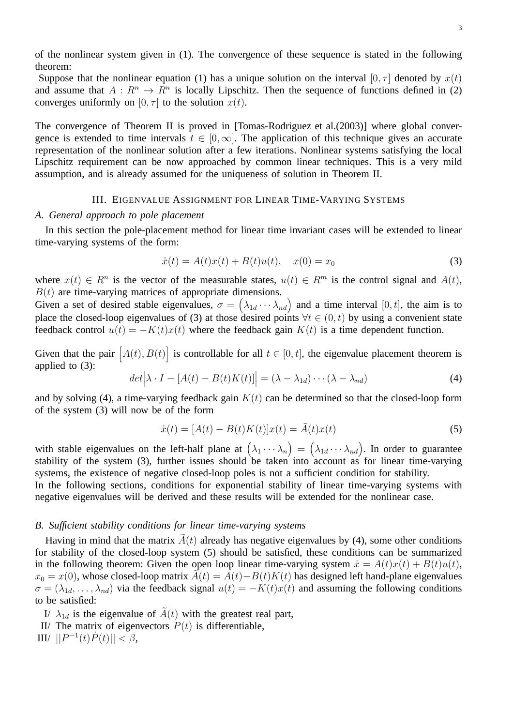of the nonlinear system given in (1). The convergence of these sequence is stated in the following theorem:

Suppose that the nonlinear equation (1) has a unique solution on the interval  $[0, \tau]$  denoted by  $x(t)$ and assume that  $A: \mathbb{R}^n \to \mathbb{R}^n$  is locally Lipschitz. Then the sequence of functions defined in (2) converges uniformly on  $[0, \tau]$  to the solution  $x(t)$ .

The convergence of Theorem II is proved in [Tomas-Rodriguez et al.(2003)] where global convergence is extended to time intervals  $t \in [0,\infty]$ . The application of this technique gives an accurate representation of the nonlinear solution after a few iterations. Nonlinear systems satisfying the local Lipschitz requirement can be now approached by common linear techniques. This is a very mild assumption, and is already assumed for the uniqueness of solution in Theorem II.

#### III. EIGENVALUE ASSIGNMENT FOR LINEAR TIME-VARYING SYSTEMS

#### *A. General approach to pole placement*

In this section the pole-placement method for linear time invariant cases will be extended to linear time-varying systems of the form:

$$
\dot{x}(t) = A(t)x(t) + B(t)u(t), \quad x(0) = x_0 \tag{3}
$$

where  $x(t) \in R^n$  is the vector of the measurable states,  $u(t) \in R^m$  is the control signal and  $A(t)$ ,  $B(t)$  are time-varying matrices of appropriate dimensions.

Given a set of desired stable eigenvalues,  $\sigma = (\lambda_{1d} \cdots \lambda_{nd})$  and a time interval  $[0, t]$ , the aim is to place the closed-loop eigenvalues of (3) at those desired points  $\forall t \in (0, t)$  by using a convenient state feedback control  $u(t) = -K(t)x(t)$  where the feedback gain  $K(t)$  is a time dependent function.

Given that the pair  $[A(t), B(t)]$  is controllable for all  $t \in [0, t]$ , the eigenvalue placement theorem is applied to (3):

$$
det\left|\lambda \cdot I - [A(t) - B(t)K(t)]\right| = (\lambda - \lambda_{1d}) \cdots (\lambda - \lambda_{nd})
$$
\n(4)

and by solving (4), a time-varying feedback gain  $K(t)$  can be determined so that the closed-loop form of the system (3) will now be of the form

$$
\dot{x}(t) = [A(t) - B(t)K(t)]x(t) = \tilde{A}(t)x(t)
$$
\n(5)

with stable eigenvalues on the left-half plane at  $(\lambda_1 \cdots \lambda_n) = (\lambda_{1d} \cdots \lambda_{nd})$ . In order to guarantee stability of the system (3), further issues should be taken into account as for linear time-varying systems, the existence of negative closed-loop poles is not a sufficient condition for stability.

In the following sections, conditions for exponential stability of linear time-varying systems with negative eigenvalues will be derived and these results will be extended for the nonlinear case.

#### *B. Sufficient stability conditions for linear time-varying systems*

Having in mind that the matrix  $\tilde{A}(t)$  already has negative eigenvalues by (4), some other conditions for stability of the closed-loop system (5) should be satisfied, these conditions can be summarized in the following theorem: Given the open loop linear time-varying system  $\dot{x} = A(t)x(t) + B(t)u(t)$ ,  $x_0 = x(0)$ , whose closed-loop matrix  $A(t) = A(t) - B(t)K(t)$  has designed left hand-plane eigenvalues  $\sigma = (\lambda_{1d}, \dots, \lambda_{nd})$  via the feedback signal  $u(t) = -K(t)x(t)$  and assuming the following conditions to be satisfied:

I/  $\lambda_{1d}$  is the eigenvalue of  $\tilde{A}(t)$  with the greatest real part,

- II/ The matrix of eigenvectors  $P(t)$  is differentiable,
- III/  $||P^{-1}(t)\dot{P}(t)|| < \beta$ ,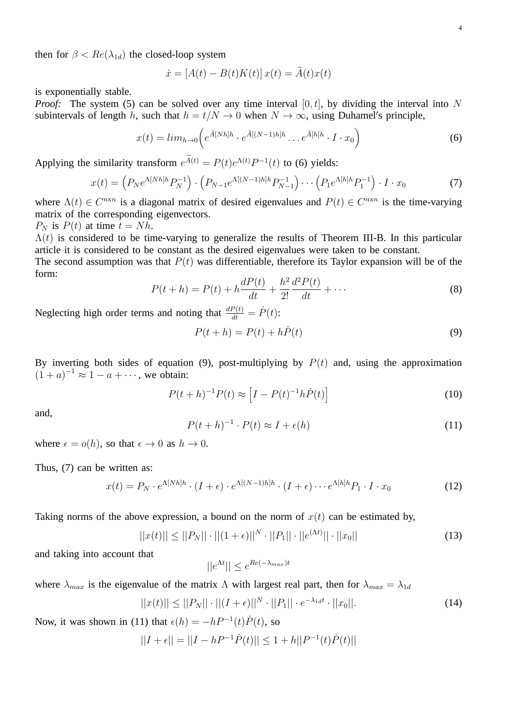then for  $\beta < Re(\lambda_{1d})$  the closed-loop system

$$
\dot{x} = [A(t) - B(t)K(t)]x(t) = A(t)x(t)
$$

is exponentially stable.

*Proof:* The system (5) can be solved over any time interval  $[0, t]$ , by dividing the interval into N subintervals of length h, such that  $h = t/N \rightarrow 0$  when  $N \rightarrow \infty$ , using Duhamel's principle,

$$
x(t) = lim_{h \to 0} \left( e^{\tilde{A}[Nh]h} \cdot e^{\tilde{A}[(N-1)h]h} \dots e^{\tilde{A}[h]h} \cdot I \cdot x_0 \right)
$$
 (6)

Applying the similarity transform  $e^{\tilde{A}(t)} = P(t)e^{\Lambda(t)}P^{-1}(t)$  to (6) yields:

$$
x(t) = \left(P_N e^{\Lambda[Nh]h} P_N^{-1}\right) \cdot \left(P_{N-1} e^{\Lambda[(N-1)h]h} P_{N-1}^{-1}\right) \cdots \left(P_1 e^{\Lambda[h]h} P_1^{-1}\right) \cdot I \cdot x_0 \tag{7}
$$

where  $\Lambda(t) \in C^{n \times n}$  is a diagonal matrix of desired eigenvalues and  $P(t) \in C^{n \times n}$  is the time-varying matrix of the corresponding eigenvectors.

 $P_N$  is  $P(t)$  at time  $t = Nh$ .

 $\Lambda(t)$  is considered to be time-varying to generalize the results of Theorem III-B. In this particular article it is considered to be constant as the desired eigenvalues were taken to be constant.

The second assumption was that  $P(t)$  was differentiable, therefore its Taylor expansion will be of the form:

$$
P(t+h) = P(t) + h\frac{dP(t)}{dt} + \frac{h^2}{2!} \frac{d^2P(t)}{dt} + \cdots
$$
 (8)

Neglecting high order terms and noting that  $\frac{dP(t)}{dt} = \dot{P}(t)$ :

$$
P(t+h) = P(t) + h\dot{P}(t)
$$
\n(9)

By inverting both sides of equation (9), post-multiplying by  $P(t)$  and, using the approximation  $(1+a)^{-1} \approx 1-a+\cdots$ , we obtain:

$$
P(t+h)^{-1}P(t) \approx \left[I - P(t)^{-1}h\dot{P}(t)\right]
$$
\n(10)

and,

$$
P(t+h)^{-1} \cdot P(t) \approx I + \epsilon(h) \tag{11}
$$

where  $\epsilon = o(h)$ , so that  $\epsilon \to 0$  as  $h \to 0$ .

Thus, (7) can be written as:

$$
x(t) = P_N \cdot e^{\Lambda[Nh]h} \cdot (I + \epsilon) \cdot e^{\Lambda[(N-1)h]h} \cdot (I + \epsilon) \cdots e^{\Lambda[h]h} P_1 \cdot I \cdot x_0 \tag{12}
$$

Taking norms of the above expression, a bound on the norm of  $x(t)$  can be estimated by,

$$
||x(t)|| \le ||P_N|| \cdot ||(1+\epsilon)||^N \cdot ||P_1|| \cdot ||e^{(\Lambda t)}|| \cdot ||x_0|| \tag{13}
$$

and taking into account that

$$
||e^{\Lambda t}|| \le e^{Re(-\lambda_{max})t}
$$

where  $\lambda_{max}$  is the eigenvalue of the matrix  $\Lambda$  with largest real part, then for  $\lambda_{max} = \lambda_{1d}$ 

$$
||x(t)|| \le ||P_N|| \cdot ||(I + \epsilon)||^N \cdot ||P_1|| \cdot e^{-\lambda_{1d}t} \cdot ||x_0||. \tag{14}
$$

Now, it was shown in (11) that  $\epsilon(h) = -hP^{-1}(t)\dot{P}(t)$ , so

$$
||I + \epsilon|| = ||I - hP^{-1}\dot{P}(t)|| \le 1 + h||P^{-1}(t)\dot{P}(t)||
$$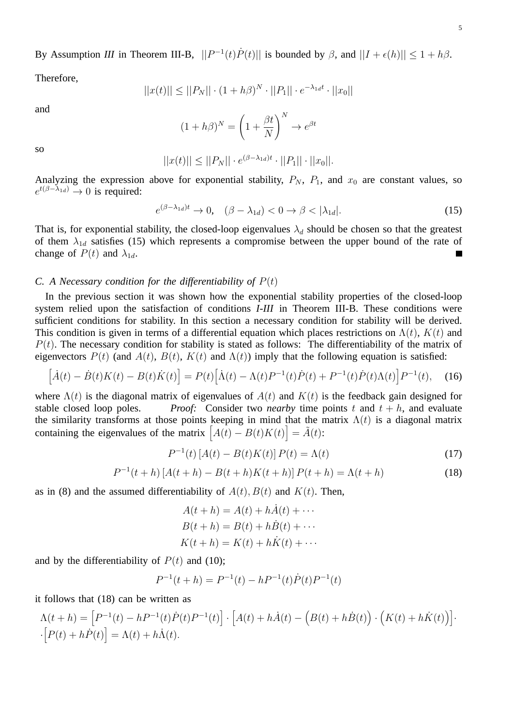By Assumption *III* in Theorem III-B,  $||P^{-1}(t)\dot{P}(t)||$  is bounded by  $\beta$ , and  $||I + \epsilon(h)|| \leq 1 + h\beta$ .

Therefore,

$$
||x(t)|| \le ||P_N|| \cdot (1 + h\beta)^N \cdot ||P_1|| \cdot e^{-\lambda_{1d}t} \cdot ||x_0||
$$

and

$$
(1 + h\beta)^N = \left(1 + \frac{\beta t}{N}\right)^N \to e^{\beta t}
$$

so

$$
||x(t)|| \le ||P_N|| \cdot e^{(\beta - \lambda_{1d})t} \cdot ||P_1|| \cdot ||x_0||.
$$

Analyzing the expression above for exponential stability,  $P_N$ ,  $P_1$ , and  $x_0$  are constant values, so  $e^{t(\beta-\lambda_{1d})}\rightarrow 0$  is required:

$$
e^{(\beta - \lambda_{1d})t} \to 0, \quad (\beta - \lambda_{1d}) < 0 \to \beta < |\lambda_{1d}|. \tag{15}
$$

That is, for exponential stability, the closed-loop eigenvalues  $\lambda_d$  should be chosen so that the greatest of them  $\lambda_{1d}$  satisfies (15) which represents a compromise between the upper bound of the rate of change of  $P(t)$  and  $\lambda_{1d}$ .

#### *C. A Necessary condition for the differentiability of* P(t)

In the previous section it was shown how the exponential stability properties of the closed-loop system relied upon the satisfaction of conditions *I-III* in Theorem III-B. These conditions were sufficient conditions for stability. In this section a necessary condition for stability will be derived. This condition is given in terms of a differential equation which places restrictions on  $\Lambda(t)$ ,  $K(t)$  and  $P(t)$ . The necessary condition for stability is stated as follows: The differentiability of the matrix of eigenvectors  $P(t)$  (and  $A(t)$ ,  $B(t)$ ,  $K(t)$  and  $\Lambda(t)$ ) imply that the following equation is satisfied:

$$
[\dot{A}(t) - \dot{B}(t)K(t) - B(t)\dot{K}(t)] = P(t)[\dot{\Lambda}(t) - \Lambda(t)P^{-1}(t)\dot{P}(t) + P^{-1}(t)\dot{P}(t)\Lambda(t)]P^{-1}(t), \quad (16)
$$

where  $\Lambda(t)$  is the diagonal matrix of eigenvalues of  $A(t)$  and  $K(t)$  is the feedback gain designed for stable closed loop poles. *Proof:* Consider two *nearby* time points t and  $t + h$ , and evaluate the similarity transforms at those points keeping in mind that the matrix  $\Lambda(t)$  is a diagonal matrix containing the eigenvalues of the matrix  $\left[ A(t) - B(t)K(t) \right] = \tilde{A}(t)$ :

$$
P^{-1}(t) [A(t) - B(t)K(t)] P(t) = \Lambda(t)
$$
\n(17)

$$
P^{-1}(t+h) [A(t+h) - B(t+h)K(t+h)] P(t+h) = \Lambda(t+h)
$$
\n(18)

as in (8) and the assumed differentiability of  $A(t)$ ,  $B(t)$  and  $K(t)$ . Then,

$$
A(t + h) = A(t) + h\dot{A}(t) + \cdots
$$
  
\n
$$
B(t + h) = B(t) + h\dot{B}(t) + \cdots
$$
  
\n
$$
K(t + h) = K(t) + h\dot{K}(t) + \cdots
$$

and by the differentiability of  $P(t)$  and (10);

$$
P^{-1}(t+h) = P^{-1}(t) - hP^{-1}(t)\dot{P}(t)P^{-1}(t)
$$

it follows that (18) can be written as

$$
\Lambda(t+h) = \left[P^{-1}(t) - hP^{-1}(t)\dot{P}(t)P^{-1}(t)\right] \cdot \left[A(t) + h\dot{A}(t) - \left(B(t) + h\dot{B}(t)\right)\cdot\left(K(t) + h\dot{K}(t)\right)\right]\cdot\left[P(t) + h\dot{P}(t)\right] = \Lambda(t) + h\dot{\Lambda}(t).
$$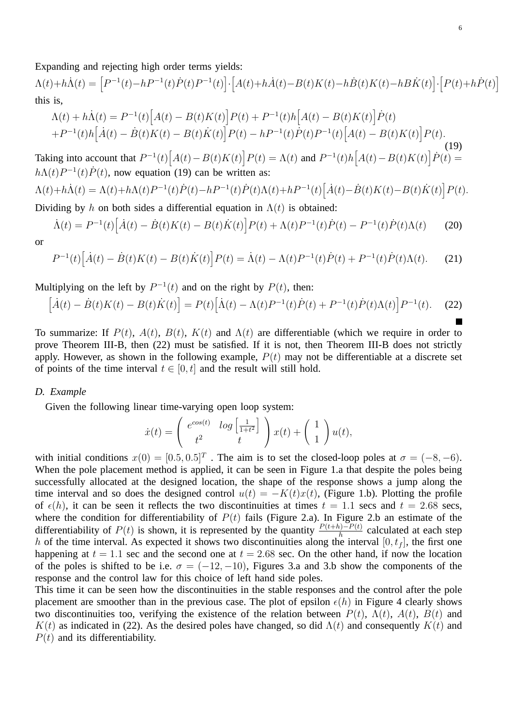Expanding and rejecting high order terms yields:

 $\Lambda(t) + h\dot{\Lambda}(t) = \left[ P^{-1}(t) - hP^{-1}(t)\dot{P}(t)P^{-1}(t) \right] \cdot \left[ A(t) + h\dot{A}(t) - B(t)K(t) - h\dot{B}(t)K(t) - hB\dot{K}(t) \right] \cdot \left[ P(t) + h\dot{P}(t) \right]$ this is,

$$
\Lambda(t) + h\dot{\Lambda}(t) = P^{-1}(t) \Big[ A(t) - B(t)K(t) \Big] P(t) + P^{-1}(t)h \Big[ A(t) - B(t)K(t) \Big] \dot{P}(t) + P^{-1}(t)h \Big[ \dot{A}(t) - \dot{B}(t)K(t) - B(t)\dot{K}(t) \Big] P(t) - hP^{-1}(t)\dot{P}(t)P^{-1}(t) \Big[ A(t) - B(t)K(t) \Big] P(t).
$$
\n(19)

Taking into account that  $P^{-1}(t) [A(t) - B(t)K(t)] P(t) = \Lambda(t)$  and  $P^{-1}(t)h [A(t) - B(t)K(t)] \dot{P}(t) =$  $h\Lambda(t)P^{-1}(t)\dot{P}(t)$ , now equation (19) can be written as:

$$
\Lambda(t) + h\dot{\Lambda}(t) = \Lambda(t) + h\Lambda(t)P^{-1}(t)\dot{P}(t) - hP^{-1}(t)\dot{P}(t)\Lambda(t) + hP^{-1}(t)\left[\dot{A}(t) - \dot{B}(t)K(t) - B(t)\dot{K}(t)\right]P(t).
$$

Dividing by h on both sides a differential equation in  $\Lambda(t)$  is obtained:

$$
\dot{\Lambda}(t) = P^{-1}(t) \Big[ \dot{A}(t) - \dot{B}(t)K(t) - B(t)\dot{K}(t) \Big] P(t) + \Lambda(t)P^{-1}(t)\dot{P}(t) - P^{-1}(t)\dot{P}(t)\Lambda(t) \tag{20}
$$

$$
P^{-1}(t)\Big[\dot{A}(t) - \dot{B}(t)K(t) - B(t)\dot{K}(t)\Big]P(t) = \dot{\Lambda}(t) - \Lambda(t)P^{-1}(t)\dot{P}(t) + P^{-1}(t)\dot{P}(t)\Lambda(t). \tag{21}
$$

Multiplying on the left by  $P^{-1}(t)$  and on the right by  $P(t)$ , then:

$$
[\dot{A}(t) - \dot{B}(t)K(t) - B(t)\dot{K}(t)] = P(t)[\dot{\Lambda}(t) - \Lambda(t)P^{-1}(t)\dot{P}(t) + P^{-1}(t)\dot{P}(t)\Lambda(t)]P^{-1}(t).
$$
 (22)

To summarize: If  $P(t)$ ,  $A(t)$ ,  $B(t)$ ,  $K(t)$  and  $\Lambda(t)$  are differentiable (which we require in order to prove Theorem III-B, then (22) must be satisfied. If it is not, then Theorem III-B does not strictly apply. However, as shown in the following example,  $P(t)$  may not be differentiable at a discrete set of points of the time interval  $t \in [0, t]$  and the result will still hold.

## *D. Example*

Given the following linear time-varying open loop system:

$$
\dot{x}(t) = \begin{pmatrix} e^{\cos(t)} & \log\left[\frac{1}{1+t^2}\right] \\ t^2 & t \end{pmatrix} x(t) + \begin{pmatrix} 1 \\ 1 \end{pmatrix} u(t),
$$

with initial conditions  $x(0) = [0.5, 0.5]^T$ . The aim is to set the closed-loop poles at  $\sigma = (-8, -6)$ . When the pole placement method is applied, it can be seen in Figure 1.a that despite the poles being successfully allocated at the designed location, the shape of the response shows a jump along the time interval and so does the designed control  $u(t) = -K(t)x(t)$ , (Figure 1.b). Plotting the profile of  $\epsilon(h)$ , it can be seen it reflects the two discontinuities at times  $t = 1.1$  secs and  $t = 2.68$  secs, where the condition for differentiability of  $P(t)$  fails (Figure 2.a). In Figure 2.b an estimate of the differentiability of  $P(t)$  is shown, it is represented by the quantity  $\frac{P(t+h)-P(t)}{h}$  calculated at each step h of the time interval. As expected it shows two discontinuities along the interval  $[0, t_f]$ , the first one happening at  $t = 1.1$  sec and the second one at  $t = 2.68$  sec. On the other hand, if now the location of the poles is shifted to be i.e.  $\sigma = (-12, -10)$ , Figures 3.a and 3.b show the components of the response and the control law for this choice of left hand side poles.

This time it can be seen how the discontinuities in the stable responses and the control after the pole placement are smoother than in the previous case. The plot of epsilon  $\epsilon(h)$  in Figure 4 clearly shows two discontinuities too, verifying the existence of the relation between  $P(t)$ ,  $\Lambda(t)$ ,  $A(t)$ ,  $B(t)$  and  $K(t)$  as indicated in (22). As the desired poles have changed, so did  $\Lambda(t)$  and consequently  $K(t)$  and  $P(t)$  and its differentiability.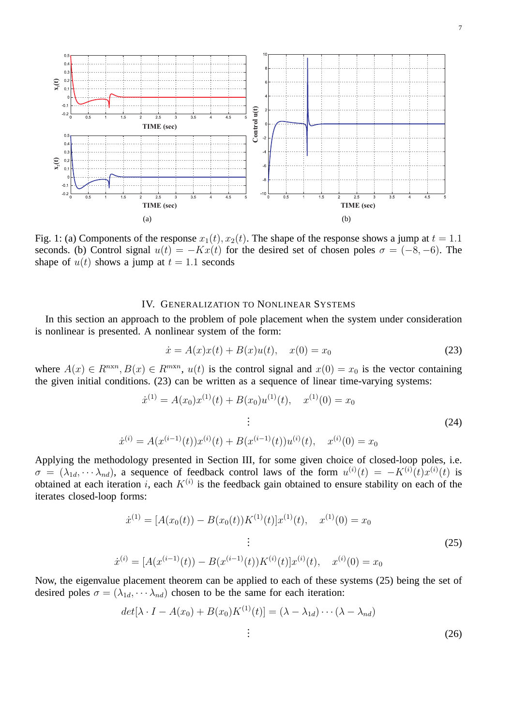

Fig. 1: (a) Components of the response  $x_1(t)$ ,  $x_2(t)$ . The shape of the response shows a jump at  $t = 1.1$ seconds. (b) Control signal  $u(t) = -Kx(t)$  for the desired set of chosen poles  $\sigma = (-8, -6)$ . The shape of  $u(t)$  shows a jump at  $t = 1.1$  seconds

#### IV. GENERALIZATION TO NONLINEAR SYSTEMS

In this section an approach to the problem of pole placement when the system under consideration is nonlinear is presented. A nonlinear system of the form:

$$
\dot{x} = A(x)x(t) + B(x)u(t), \quad x(0) = x_0 \tag{23}
$$

where  $A(x) \in R^{n \times n}, B(x) \in R^{m \times n}, u(t)$  is the control signal and  $x(0) = x_0$  is the vector containing the given initial conditions. (23) can be written as a sequence of linear time-varying systems:

$$
\dot{x}^{(1)} = A(x_0)x^{(1)}(t) + B(x_0)u^{(1)}(t), \quad x^{(1)}(0) = x_0
$$
\n
$$
\vdots
$$
\n
$$
\dot{x}^{(i)} = A(x^{(i-1)}(t))x^{(i)}(t) + B(x^{(i-1)}(t))u^{(i)}(t), \quad x^{(i)}(0) = x_0
$$
\n(24)

Applying the methodology presented in Section III, for some given choice of closed-loop poles, i.e.  $\sigma = (\lambda_{1d}, \cdots \lambda_{nd})$ , a sequence of feedback control laws of the form  $u^{(i)}(t) = -K^{(i)}(t)x^{(i)}(t)$  is obtained at each iteration i, each  $K^{(i)}$  is the feedback gain obtained to ensure stability on each of the iterates closed-loop forms:

$$
\dot{x}^{(1)} = [A(x_0(t)) - B(x_0(t))K^{(1)}(t)]x^{(1)}(t), \quad x^{(1)}(0) = x_0
$$
  
\n
$$
\vdots
$$
  
\n
$$
\dot{x}^{(i)} = [A(x^{(i-1)}(t)) - B(x^{(i-1)}(t))K^{(i)}(t)]x^{(i)}(t), \quad x^{(i)}(0) = x_0
$$
\n(25)

Now, the eigenvalue placement theorem can be applied to each of these systems (25) being the set of desired poles  $\sigma = (\lambda_{1d}, \cdots \lambda_{nd})$  chosen to be the same for each iteration:

$$
det[\lambda \cdot I - A(x_0) + B(x_0)K^{(1)}(t)] = (\lambda - \lambda_{1d}) \cdots (\lambda - \lambda_{nd})
$$
  
:\t(26)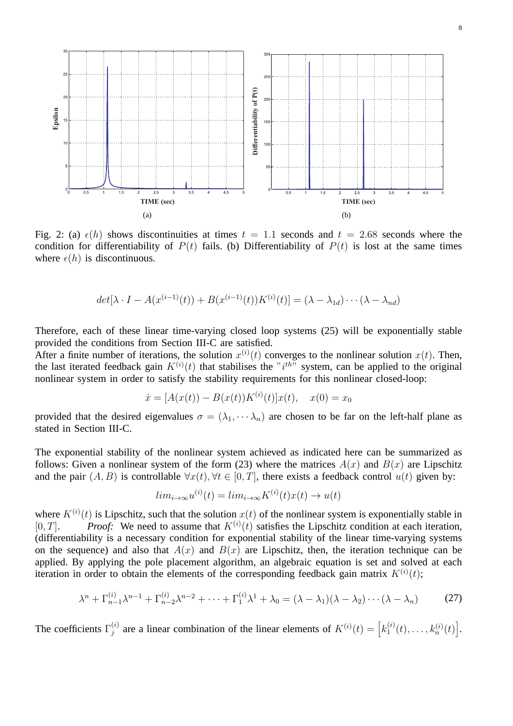

Fig. 2: (a)  $\epsilon(h)$  shows discontinuities at times  $t = 1.1$  seconds and  $t = 2.68$  seconds where the condition for differentiability of  $P(t)$  fails. (b) Differentiability of  $P(t)$  is lost at the same times where  $\epsilon(h)$  is discontinuous.

$$
det[\lambda \cdot I - A(x^{(i-1)}(t)) + B(x^{(i-1)}(t))K^{(i)}(t)] = (\lambda - \lambda_{1d}) \cdots (\lambda - \lambda_{nd})
$$

Therefore, each of these linear time-varying closed loop systems (25) will be exponentially stable provided the conditions from Section III-C are satisfied.

After a finite number of iterations, the solution  $x^{(i)}(t)$  converges to the nonlinear solution  $x(t)$ . Then, the last iterated feedback gain  $K^{(i)}(t)$  that stabilises the " $i^{th}$ " system, can be applied to the original nonlinear system in order to satisfy the stability requirements for this nonlinear closed-loop:

$$
\dot{x} = [A(x(t)) - B(x(t))K^{(i)}(t)]x(t), \quad x(0) = x_0
$$

provided that the desired eigenvalues  $\sigma = (\lambda_1, \dots, \lambda_n)$  are chosen to be far on the left-half plane as stated in Section III-C.

The exponential stability of the nonlinear system achieved as indicated here can be summarized as follows: Given a nonlinear system of the form (23) where the matrices  $A(x)$  and  $B(x)$  are Lipschitz and the pair  $(A, B)$  is controllable  $\forall x(t), \forall t \in [0, T]$ , there exists a feedback control  $u(t)$  given by:

$$
lim_{i \to \infty} u^{(i)}(t) = lim_{i \to \infty} K^{(i)}(t)x(t) \to u(t)
$$

where  $K^{(i)}(t)$  is Lipschitz, such that the solution  $x(t)$  of the nonlinear system is exponentially stable in  $[0, T]$ . *Proof:* We need to assume that  $K^{(i)}(t)$  satisfies the Lipschitz condition at each iteration, (differentiability is a necessary condition for exponential stability of the linear time-varying systems on the sequence) and also that  $A(x)$  and  $B(x)$  are Lipschitz, then, the iteration technique can be applied. By applying the pole placement algorithm, an algebraic equation is set and solved at each iteration in order to obtain the elements of the corresponding feedback gain matrix  $K^{(i)}(t)$ ;

$$
\lambda^n + \Gamma_{n-1}^{(i)} \lambda^{n-1} + \Gamma_{n-2}^{(i)} \lambda^{n-2} + \dots + \Gamma_1^{(i)} \lambda^1 + \lambda_0 = (\lambda - \lambda_1)(\lambda - \lambda_2) \cdots (\lambda - \lambda_n)
$$
 (27)

The coefficients  $\Gamma_i^{(i)}$  $j^{(i)}$  are a linear combination of the linear elements of  $K^{(i)}(t) = \left[k_1^{(i)}\right]$  $t_1^{(i)}(t), \ldots, k_n^{(i)}(t)$ .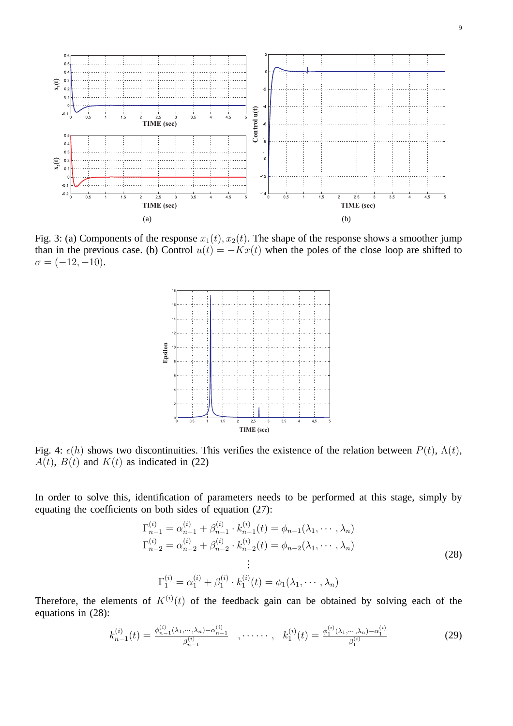

Fig. 3: (a) Components of the response  $x_1(t)$ ,  $x_2(t)$ . The shape of the response shows a smoother jump than in the previous case. (b) Control  $u(t) = -Kx(t)$  when the poles of the close loop are shifted to  $\sigma = (-12, -10).$ 



Fig. 4:  $\epsilon(h)$  shows two discontinuities. This verifies the existence of the relation between  $P(t)$ ,  $\Lambda(t)$ ,  $A(t)$ ,  $B(t)$  and  $K(t)$  as indicated in (22)

In order to solve this, identification of parameters needs to be performed at this stage, simply by equating the coefficients on both sides of equation (27):

$$
\Gamma_{n-1}^{(i)} = \alpha_{n-1}^{(i)} + \beta_{n-1}^{(i)} \cdot k_{n-1}^{(i)}(t) = \phi_{n-1}(\lambda_1, \dots, \lambda_n)
$$
  
\n
$$
\Gamma_{n-2}^{(i)} = \alpha_{n-2}^{(i)} + \beta_{n-2}^{(i)} \cdot k_{n-2}^{(i)}(t) = \phi_{n-2}(\lambda_1, \dots, \lambda_n)
$$
  
\n
$$
\vdots
$$
  
\n
$$
\Gamma_1^{(i)} = \alpha_1^{(i)} + \beta_1^{(i)} \cdot k_1^{(i)}(t) = \phi_1(\lambda_1, \dots, \lambda_n)
$$
\n(28)

Therefore, the elements of  $K^{(i)}(t)$  of the feedback gain can be obtained by solving each of the equations in (28):

$$
k_{n-1}^{(i)}(t) = \frac{\phi_{n-1}^{(i)}(\lambda_1, \dots, \lambda_n) - \alpha_{n-1}^{(i)}}{\beta_{n-1}^{(i)}} \quad , \dots \dots \quad , \quad k_1^{(i)}(t) = \frac{\phi_1^{(i)}(\lambda_1, \dots, \lambda_n) - \alpha_1^{(i)}}{\beta_1^{(i)}} \tag{29}
$$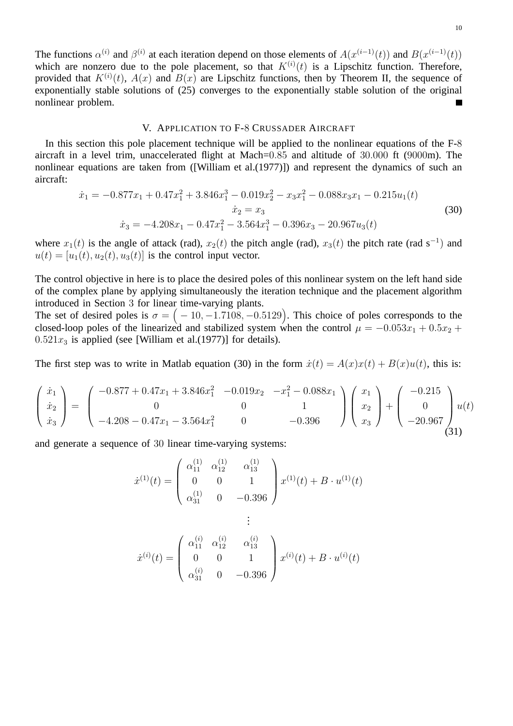The functions  $\alpha^{(i)}$  and  $\beta^{(i)}$  at each iteration depend on those elements of  $A(x^{(i-1)}(t))$  and  $B(x^{(i-1)}(t))$ which are nonzero due to the pole placement, so that  $K^{(i)}(t)$  is a Lipschitz function. Therefore, provided that  $K^{(i)}(t)$ ,  $A(x)$  and  $B(x)$  are Lipschitz functions, then by Theorem II, the sequence of exponentially stable solutions of (25) converges to the exponentially stable solution of the original nonlinear problem.

#### V. APPLICATION TO F-8 CRUSSADER AIRCRAFT

In this section this pole placement technique will be applied to the nonlinear equations of the F-8 aircraft in a level trim, unaccelerated flight at Mach=0.85 and altitude of 30.000 ft (9000m). The nonlinear equations are taken from ([William et al.(1977)]) and represent the dynamics of such an aircraft:

$$
\dot{x}_1 = -0.877x_1 + 0.47x_1^2 + 3.846x_1^3 - 0.019x_2^2 - x_3x_1^2 - 0.088x_3x_1 - 0.215u_1(t)
$$
  
\n
$$
\dot{x}_2 = x_3
$$
  
\n
$$
\dot{x}_3 = -4.208x_1 - 0.47x_1^2 - 3.564x_1^3 - 0.396x_3 - 20.967u_3(t)
$$
\n(30)

where  $x_1(t)$  is the angle of attack (rad),  $x_2(t)$  the pitch angle (rad),  $x_3(t)$  the pitch rate (rad s<sup>-1</sup>) and  $u(t) = [u_1(t), u_2(t), u_3(t)]$  is the control input vector.

The control objective in here is to place the desired poles of this nonlinear system on the left hand side of the complex plane by applying simultaneously the iteration technique and the placement algorithm introduced in Section 3 for linear time-varying plants.

The set of desired poles is  $\sigma = (-10, -1.7108, -0.5129)$ . This choice of poles corresponds to the closed-loop poles of the linearized and stabilized system when the control  $\mu = -0.053x_1 + 0.5x_2 +$  $0.521x_3$  is applied (see [William et al.(1977)] for details).

The first step was to write in Matlab equation (30) in the form  $\dot{x}(t) = A(x)x(t) + B(x)u(t)$ , this is:

$$
\begin{pmatrix} \dot{x}_1 \\ \dot{x}_2 \\ \dot{x}_3 \end{pmatrix} = \begin{pmatrix} -0.877 + 0.47x_1 + 3.846x_1^2 & -0.019x_2 & -x_1^2 - 0.088x_1 \\ 0 & 0 & 1 \\ -4.208 - 0.47x_1 - 3.564x_1^2 & 0 & -0.396 \end{pmatrix} \begin{pmatrix} x_1 \\ x_2 \\ x_3 \end{pmatrix} + \begin{pmatrix} -0.215 \\ 0 \\ -20.967 \end{pmatrix} u(t) \tag{31}
$$

and generate a sequence of 30 linear time-varying systems:

$$
\dot{x}^{(1)}(t) = \begin{pmatrix} \alpha_{11}^{(1)} & \alpha_{12}^{(1)} & \alpha_{13}^{(1)} \\ 0 & 0 & 1 \\ \alpha_{31}^{(1)} & 0 & -0.396 \end{pmatrix} x^{(1)}(t) + B \cdot u^{(1)}(t)
$$

$$
\vdots
$$

$$
\dot{x}^{(i)}(t) = \begin{pmatrix} \alpha_{11}^{(i)} & \alpha_{12}^{(i)} & \alpha_{13}^{(i)} \\ 0 & 0 & 1 \\ \alpha_{31}^{(i)} & 0 & -0.396 \end{pmatrix} x^{(i)}(t) + B \cdot u^{(i)}(t)
$$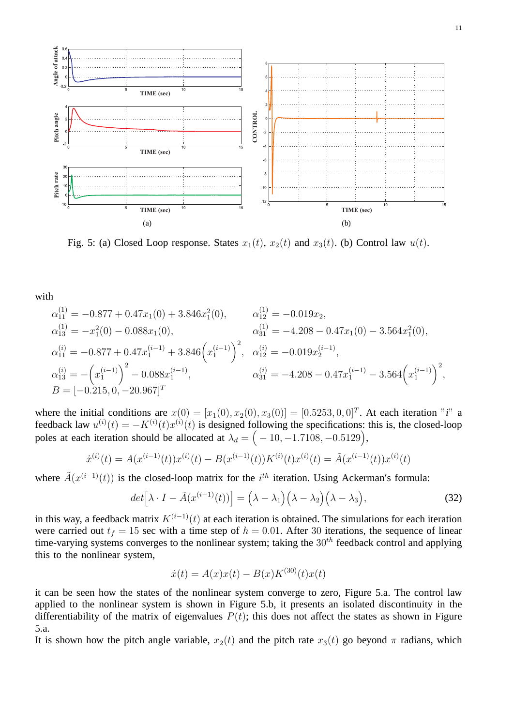

Fig. 5: (a) Closed Loop response. States  $x_1(t)$ ,  $x_2(t)$  and  $x_3(t)$ . (b) Control law  $u(t)$ .

with

$$
\alpha_{11}^{(1)} = -0.877 + 0.47x_1(0) + 3.846x_1^2(0), \qquad \alpha_{12}^{(1)} = -0.019x_2,
$$
  
\n
$$
\alpha_{13}^{(1)} = -x_1^2(0) - 0.088x_1(0), \qquad \alpha_{31}^{(1)} = -4.208 - 0.47x_1(0) - 3.564x_1^2(0),
$$
  
\n
$$
\alpha_{11}^{(i)} = -0.877 + 0.47x_1^{(i-1)} + 3.846(x_1^{(i-1)})^2, \quad \alpha_{12}^{(i)} = -0.019x_2^{(i-1)},
$$
  
\n
$$
\alpha_{13}^{(i)} = -\left(x_1^{(i-1)}\right)^2 - 0.088x_1^{(i-1)}, \qquad \alpha_{31}^{(i)} = -4.208 - 0.47x_1^{(i-1)} - 3.564(x_1^{(i-1)})^2,
$$
  
\n
$$
B = [-0.215, 0, -20.967]^T
$$

where the initial conditions are  $x(0) = [x_1(0), x_2(0), x_3(0)] = [0.5253, 0, 0]^T$ . At each iteration "*i*" a feedback law  $u^{(i)}(t) = -K^{(i)}(t)x^{(i)}(t)$  is designed following the specifications: this is, the closed-loop poles at each iteration should be allocated at  $\lambda_d = \left( -10, -1.7108, -0.5129 \right)$ ,

$$
\dot{x}^{(i)}(t) = A(x^{(i-1)}(t))x^{(i)}(t) - B(x^{(i-1)}(t))K^{(i)}(t)x^{(i)}(t) = \tilde{A}(x^{(i-1)}(t))x^{(i)}(t)
$$

where  $\tilde{A}(x^{(i-1)}(t))$  is the closed-loop matrix for the  $i^{th}$  iteration. Using Ackerman's formula:

$$
det\left[\lambda \cdot I - \tilde{A}(x^{(i-1)}(t))\right] = \left(\lambda - \lambda_1\right)\left(\lambda - \lambda_2\right)\left(\lambda - \lambda_3\right),\tag{32}
$$

in this way, a feedback matrix  $K^{(i-1)}(t)$  at each iteration is obtained. The simulations for each iteration were carried out  $t_f = 15$  sec with a time step of  $h = 0.01$ . After 30 iterations, the sequence of linear time-varying systems converges to the nonlinear system; taking the  $30<sup>th</sup>$  feedback control and applying this to the nonlinear system,

$$
\dot{x}(t) = A(x)x(t) - B(x)K^{(30)}(t)x(t)
$$

it can be seen how the states of the nonlinear system converge to zero, Figure 5.a. The control law applied to the nonlinear system is shown in Figure 5.b, it presents an isolated discontinuity in the differentiability of the matrix of eigenvalues  $P(t)$ ; this does not affect the states as shown in Figure 5.a.

It is shown how the pitch angle variable,  $x_2(t)$  and the pitch rate  $x_3(t)$  go beyond  $\pi$  radians, which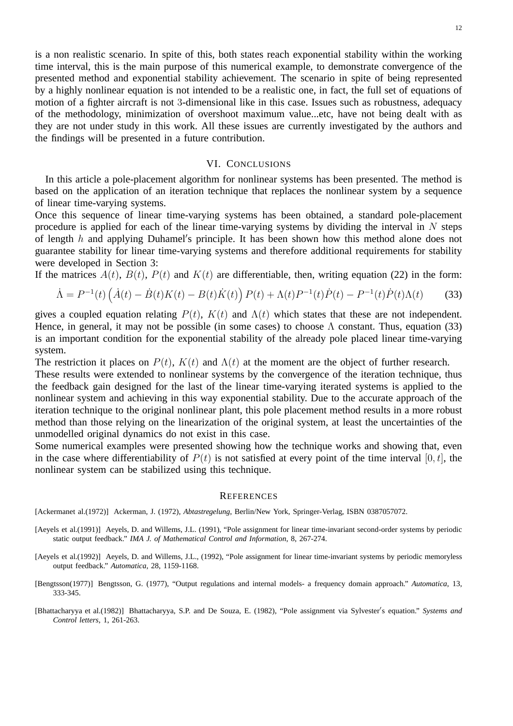is a non realistic scenario. In spite of this, both states reach exponential stability within the working time interval, this is the main purpose of this numerical example, to demonstrate convergence of the presented method and exponential stability achievement. The scenario in spite of being represented by a highly nonlinear equation is not intended to be a realistic one, in fact, the full set of equations of motion of a fighter aircraft is not 3-dimensional like in this case. Issues such as robustness, adequacy of the methodology, minimization of overshoot maximum value...etc, have not being dealt with as they are not under study in this work. All these issues are currently investigated by the authors and the findings will be presented in a future contribution.

#### VI. CONCLUSIONS

In this article a pole-placement algorithm for nonlinear systems has been presented. The method is based on the application of an iteration technique that replaces the nonlinear system by a sequence of linear time-varying systems.

Once this sequence of linear time-varying systems has been obtained, a standard pole-placement procedure is applied for each of the linear time-varying systems by dividing the interval in  $N$  steps of length h and applying Duhamel's principle. It has been shown how this method alone does not guarantee stability for linear time-varying systems and therefore additional requirements for stability were developed in Section 3:

If the matrices  $A(t)$ ,  $B(t)$ ,  $P(t)$  and  $K(t)$  are differentiable, then, writing equation (22) in the form:

$$
\dot{\Lambda} = P^{-1}(t) \left( \dot{A}(t) - \dot{B}(t)K(t) - B(t)\dot{K}(t) \right) P(t) + \Lambda(t)P^{-1}(t)\dot{P}(t) - P^{-1}(t)\dot{P}(t)\Lambda(t) \tag{33}
$$

gives a coupled equation relating  $P(t)$ ,  $K(t)$  and  $\Lambda(t)$  which states that these are not independent. Hence, in general, it may not be possible (in some cases) to choose  $\Lambda$  constant. Thus, equation (33) is an important condition for the exponential stability of the already pole placed linear time-varying system.

The restriction it places on  $P(t)$ ,  $K(t)$  and  $\Lambda(t)$  at the moment are the object of further research.

These results were extended to nonlinear systems by the convergence of the iteration technique, thus the feedback gain designed for the last of the linear time-varying iterated systems is applied to the nonlinear system and achieving in this way exponential stability. Due to the accurate approach of the iteration technique to the original nonlinear plant, this pole placement method results in a more robust method than those relying on the linearization of the original system, at least the uncertainties of the unmodelled original dynamics do not exist in this case.

Some numerical examples were presented showing how the technique works and showing that, even in the case where differentiability of  $P(t)$  is not satisfied at every point of the time interval [0, t], the nonlinear system can be stabilized using this technique.

#### **REFERENCES**

[Ackermanet al.(1972)] Ackerman, J. (1972), *Abtastregelung*, Berlin/New York, Springer-Verlag, ISBN 0387057072.

- [Aeyels et al.(1991)] Aeyels, D. and Willems, J.L. (1991), "Pole assignment for linear time-invariant second-order systems by periodic static output feedback." *IMA J. of Mathematical Control and Information*, 8, 267-274.
- [Aeyels et al.(1992)] Aeyels, D. and Willems, J.L., (1992), "Pole assignment for linear time-invariant systems by periodic memoryless output feedback." *Automatica*, 28, 1159-1168.
- [Bengtsson(1977)] Bengtsson, G. (1977), "Output regulations and internal models- a frequency domain approach." *Automatica*, 13, 333-345.
- [Bhattacharyya et al.(1982)] Bhattacharyya, S.P. and De Souza, E. (1982), "Pole assignment via Sylvester′ s equation." *Systems and Control letters*, 1, 261-263.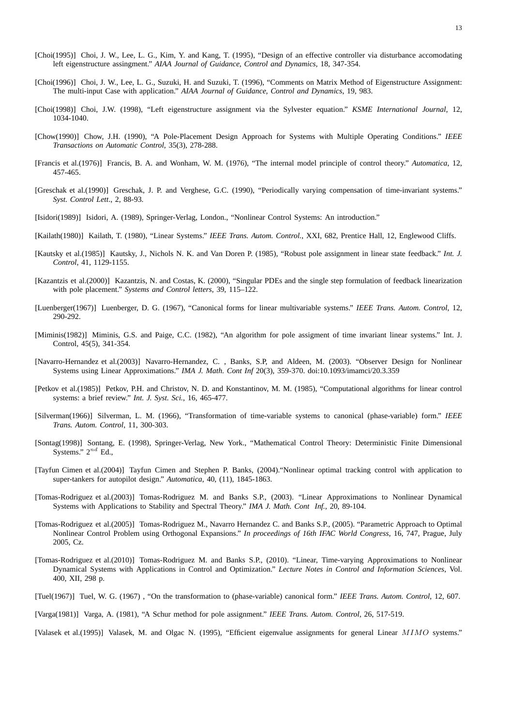- [Choi(1995)] Choi, J. W., Lee, L. G., Kim, Y. and Kang, T. (1995), "Design of an effective controller via disturbance accomodating left eigenstructure assingment." *AIAA Journal of Guidance, Control and Dynamics*, 18, 347-354.
- [Choi(1996)] Choi, J. W., Lee, L. G., Suzuki, H. and Suzuki, T. (1996), "Comments on Matrix Method of Eigenstructure Assignment: The multi-input Case with application." *AIAA Journal of Guidance, Control and Dynamics*, 19, 983.
- [Choi(1998)] Choi, J.W. (1998), "Left eigenstructure assignment via the Sylvester equation." *KSME International Journal*, 12, 1034-1040.
- [Chow(1990)] Chow, J.H. (1990), "A Pole-Placement Design Approach for Systems with Multiple Operating Conditions." *IEEE Transactions on Automatic Control*, 35(3), 278-288.
- [Francis et al.(1976)] Francis, B. A. and Wonham, W. M. (1976), "The internal model principle of control theory." *Automatica*, 12, 457-465.
- [Greschak et al.(1990)] Greschak, J. P. and Verghese, G.C. (1990), "Periodically varying compensation of time-invariant systems." *Syst. Control Lett*., 2, 88-93.
- [Isidori(1989)] Isidori, A. (1989), Springer-Verlag, London., "Nonlinear Control Systems: An introduction."
- [Kailath(1980)] Kailath, T. (1980), "Linear Systems." *IEEE Trans. Autom. Control.*, XXI, 682, Prentice Hall, 12, Englewood Cliffs.
- [Kautsky et al.(1985)] Kautsky, J., Nichols N. K. and Van Doren P. (1985), "Robust pole assignment in linear state feedback." *Int. J. Control*, 41, 1129-1155.
- [Kazantzis et al.(2000)] Kazantzis, N. and Costas, K. (2000), "Singular PDEs and the single step formulation of feedback linearization with pole placement." *Systems and Control letters*, 39, 115–122.
- [Luenberger(1967)] Luenberger, D. G. (1967), "Canonical forms for linear multivariable systems." *IEEE Trans. Autom. Control*, 12, 290-292.
- [Miminis(1982)] Miminis, G.S. and Paige, C.C. (1982), "An algorithm for pole assigment of time invariant linear systems." Int. J. Control, 45(5), 341-354.
- [Navarro-Hernandez et al.(2003)] Navarro-Hernandez, C. , Banks, S.P, and Aldeen, M. (2003). "Observer Design for Nonlinear Systems using Linear Approximations." *IMA J. Math. Cont Inf* 20(3), 359-370. doi:10.1093/imamci/20.3.359
- [Petkov et al.(1985)] Petkov, P.H. and Christov, N. D. and Konstantinov, M. M. (1985), "Computational algorithms for linear control systems: a brief review." *Int. J. Syst. Sci.*, 16, 465-477.
- [Silverman(1966)] Silverman, L. M. (1966), "Transformation of time-variable systems to canonical (phase-variable) form." *IEEE Trans. Autom. Control*, 11, 300-303.
- [Sontag(1998)] Sontang, E. (1998), Springer-Verlag, New York., "Mathematical Control Theory: Deterministic Finite Dimensional Systems."  $2^{nd}$  Ed.,
- [Tayfun Cimen et al.(2004)] Tayfun Cimen and Stephen P. Banks, (2004)."Nonlinear optimal tracking control with application to super-tankers for autopilot design." *Automatica*, 40, (11), 1845-1863.
- [Tomas-Rodriguez et al.(2003)] Tomas-Rodriguez M. and Banks S.P., (2003). "Linear Approximations to Nonlinear Dynamical Systems with Applications to Stability and Spectral Theory." *IMA J. Math. Cont Inf.*, 20, 89-104.
- [Tomas-Rodriguez et al.(2005)] Tomas-Rodriguez M., Navarro Hernandez C. and Banks S.P., (2005). "Parametric Approach to Optimal Nonlinear Control Problem using Orthogonal Expansions." *In proceedings of 16th IFAC World Congress*, 16, 747, Prague, July 2005, Cz.
- [Tomas-Rodriguez et al.(2010)] Tomas-Rodriguez M. and Banks S.P., (2010). "Linear, Time-varying Approximations to Nonlinear Dynamical Systems with Applications in Control and Optimization." *Lecture Notes in Control and Information Sciences*, Vol. 400, XII, 298 p.
- [Tuel(1967)] Tuel, W. G. (1967) , "On the transformation to (phase-variable) canonical form." *IEEE Trans. Autom. Control*, 12, 607.
- [Varga(1981)] Varga, A. (1981), "A Schur method for pole assignment." *IEEE Trans. Autom. Control*, 26, 517-519.

[Valasek et al.(1995)] Valasek, M. and Olgac N. (1995), "Efficient eigenvalue assignments for general Linear MIMO systems."